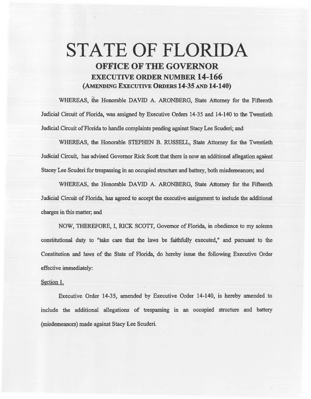## STATE OF FLORIDA OFFICE OF THE GOVERNOR EXECUTIVE ORDER NUMBER 14-166 (AMENDING EXECUTIVE ORDERS 14-35 AND 14-140)

WHEREAS, the Honorable DAVID A. ARONBERG, State Attorney for the Fifteenth Judicial Circuit of Florida, was assigned by Executive Orders 14-35 and 14-140 to the Twentieth Judicial Circuit of Florida to handle complaints pending against Stacy Lee Scuderi; and

WHEREAS, the Honorable STEPHEN B. RUSSELL, State Attorney for the Twentieth Judicial Circuit, has advised Govemor Rick Scott that there is now an additional allegation against Stacey Lee Scuderi for trespassing in an occupied structure and battery, both misdemeanors; and

WHEREAS, the Honorable DAVID A. ARONBERG, State Attorney for the Fifteenth Judicial Circuit of Florida, has agreed to accept the executive assignment to include the additional charges in this matter; and

NOW, THEREFORE, I, RICK SCOTT, Governor of Florida, in obedience to my solemn constitutional duty to "take care that the laws be faithfully executed," and pursuant to the Constitution and laws of the State of Florida, do hereby issue the following Executive Order effective immediately:

## Section l.

Executive Order 14·35, amended by Executive Order 14·140, is hereby amended to include the additional allegations of trespassing in an occupied structure and battery (misdemeanors) made against Stacy Lee Scuderi.